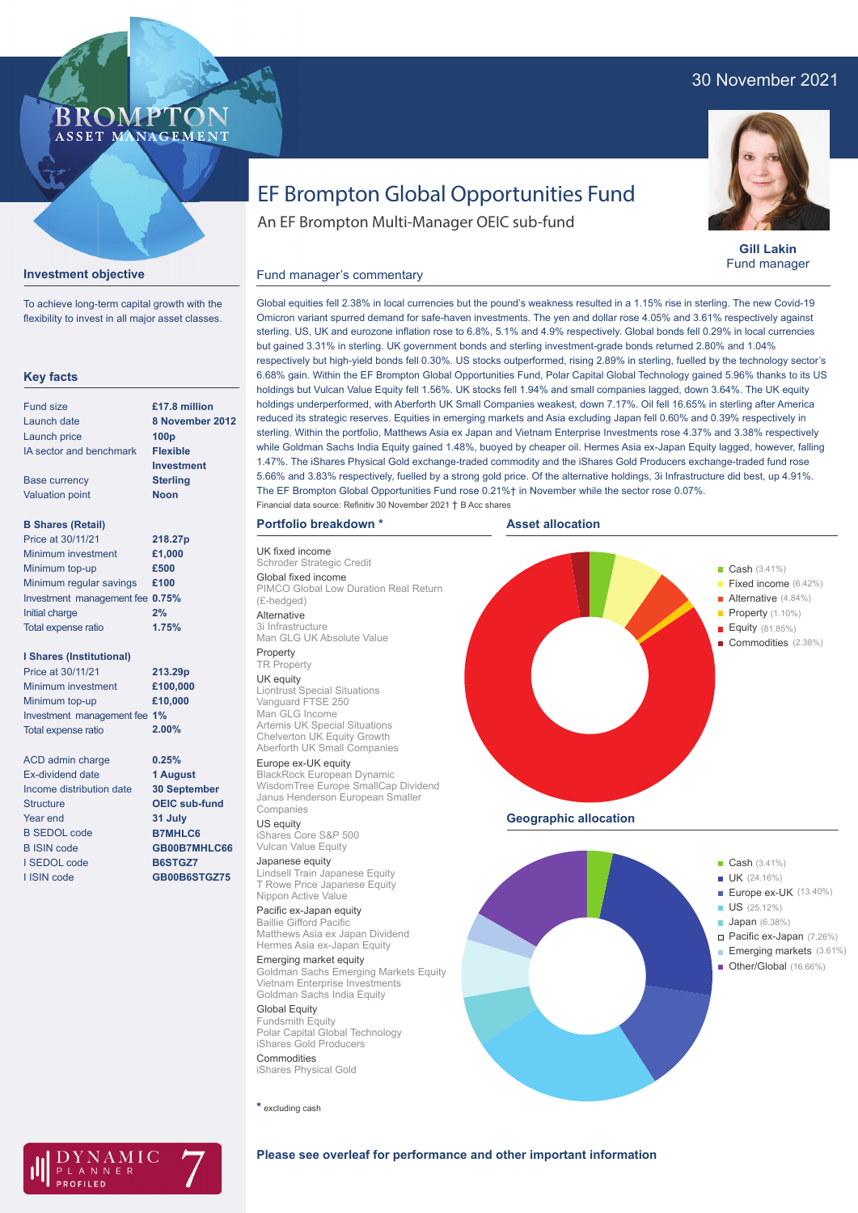# 30 November 2021

# **BROMP** ASSET MANAGEMENT



To achieve long-term capital growth with the flexibility to invest in all major asset classes.

## **Key facts**

| <b>Fund size</b>                | £17.8 million    |
|---------------------------------|------------------|
| Launch date                     | 8 November 2012  |
| Launch price                    | 100 <sub>p</sub> |
| IA sector and benchmark         | <b>Flexible</b>  |
|                                 | Investment       |
| Base currency                   | <b>Sterling</b>  |
| <b>Valuation point</b>          | <b>Noon</b>      |
|                                 |                  |
| <b>B Shares (Retail)</b>        |                  |
| Price at 30/11/21               | 218.27p          |
| Minimum investment              | £1,000           |
| Minimum top-up                  | £500             |
| Minimum regular savings         | £100             |
| Investment management fee 0.75% |                  |
| Initial charge                  | 2%               |

**1.75%**

#### **I Shares (Institutional)**

Total expense ratio

Minimum investment Minimum top-up Investment management fee **1%** Total expense ratio **£100,000 £10,000 213.29p** Price at 30/11/21 **2.00%**

ACD admin charge Ex-dividend date Income distribution date **Structure** Year end B SEDOL code B ISIN code I SEDOL code I ISIN code **0.25% 1 August 30 September OEIC sub-fund 31 July B7MHLC6 GB00B7MHLC66 B6STGZ7 GB00B6STGZ75**

# EF Brompton Global Opportunities Fund

An EF Brompton Multi-Manager OEIC sub-fund



**Gill Lakin** Fund manager

Global equities fell 2.38% in local currencies but the pound's weakness resulted in a 1.15% rise in sterling. The new Covid-19 Omicron variant spurred demand for safe-haven investments. The yen and dollar rose 4.05% and 3.61% respectively against sterling. US, UK and eurozone inflation rose to 6.8%, 5.1% and 4.9% respectively. Global bonds fell 0.29% in local currencies but gained 3.31% in sterling. UK government bonds and sterling investment-grade bonds returned 2.80% and 1.04% respectively but high-yield bonds fell 0.30%. US stocks outperformed, rising 2.89% in sterling, fuelled by the technology sector's 6.68% gain. Within the EF Brompton Global Opportunities Fund, Polar Capital Global Technology gained 5.96% thanks to its US holdings but Vulcan Value Equity fell 1.56%. UK stocks fell 1.94% and small companies lagged, down 3.64%. The UK equity holdings underperformed, with Aberforth UK Small Companies weakest, down 7.17%. Oil fell 16.65% in sterling after America reduced its strategic reserves. Equities in emerging markets and Asia excluding Japan fell 0.60% and 0.39% respectively in sterling. Within the portfolio, Matthews Asia ex Japan and Vietnam Enterprise Investments rose 4.37% and 3.38% respectively while Goldman Sachs India Equity gained 1.48%, buoyed by cheaper oil. Hermes Asia ex-Japan Equity lagged, however, falling 1.47%. The iShares Physical Gold exchange-traded commodity and the iShares Gold Producers exchange-traded fund rose 5.66% and 3.83% respectively, fuelled by a strong gold price. Of the alternative holdings, 3i Infrastructure did best, up 4.91%. The EF Brompton Global Opportunities Fund rose 0.21%† in November while the sector rose 0.07%. Financial data source: Refinitiv 30 November 2021 † B Acc shares

## **Portfolio breakdown \***

Fund manager's commentary

UK fixed income Schroder Strategic Credit Global fixed income PIMCO Global Low Duration Real Return (£-hedged) Alternative

3i Infrastructure Man GLG UK Absolute Value Property

## TR Property

UK equity Liontrust Special Situations Vanguard FTSE 250 Man GLG Income Artemis UK Special Situations Chelverton UK Equity Growth Aberforth UK Small Companies

#### Europe ex-UK equity

BlackRock European Dynamic WisdomTree Europe SmallCap Dividend Janus Henderson European Smaller Companies

#### US equity

iShares Core S&P 500 Vulcan Value Equity

#### Japanese equity

Lindsell Train Japanese Equity T Rowe Price Japanese Equity Nippon Active Value

#### Pacific ex-Japan equity Baillie Gifford Pacific

Matthews Asia ex Japan Dividend Hermes Asia ex-Japan Equity

Emerging market equity Goldman Sachs Emerging Markets Equity Vietnam Enterprise Investments Goldman Sachs India Equity

Global Equity Fundsmith Equity Polar Capital Global Technology iShares Gold Producers **Commodities** 

iShares Physical Gold

**\*** excluding cash





AMIC ANNER

## **Please see overleaf for performance and other important information**